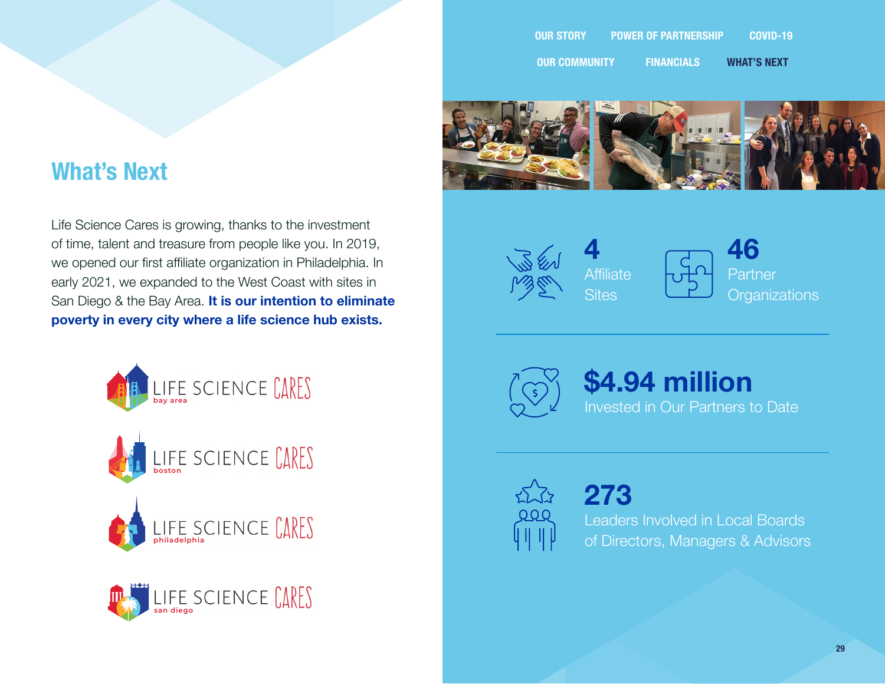## **What's Next**

Life Science Cares is growing, thanks to the investment of time, talent and treasure from people like you. In 2019, we opened our first affiliate organization in Philadelphia. In early 2021, we expanded to the West Coast with sites in San Diego & the Bay Area. **It is our intention to eliminate poverty in every city where a life science hub exists.**





**OUR STORY POWER OF PARTNERSHIP COVID-19 OUR COMMUNITY FINANCIALS WHAT'S NEXT**







**46 Partner Organizations** 



**\$4.94 million** Invested in Our Partners to Date

**273** Leaders Involved in Local Boards of Directors, Managers & Advisors